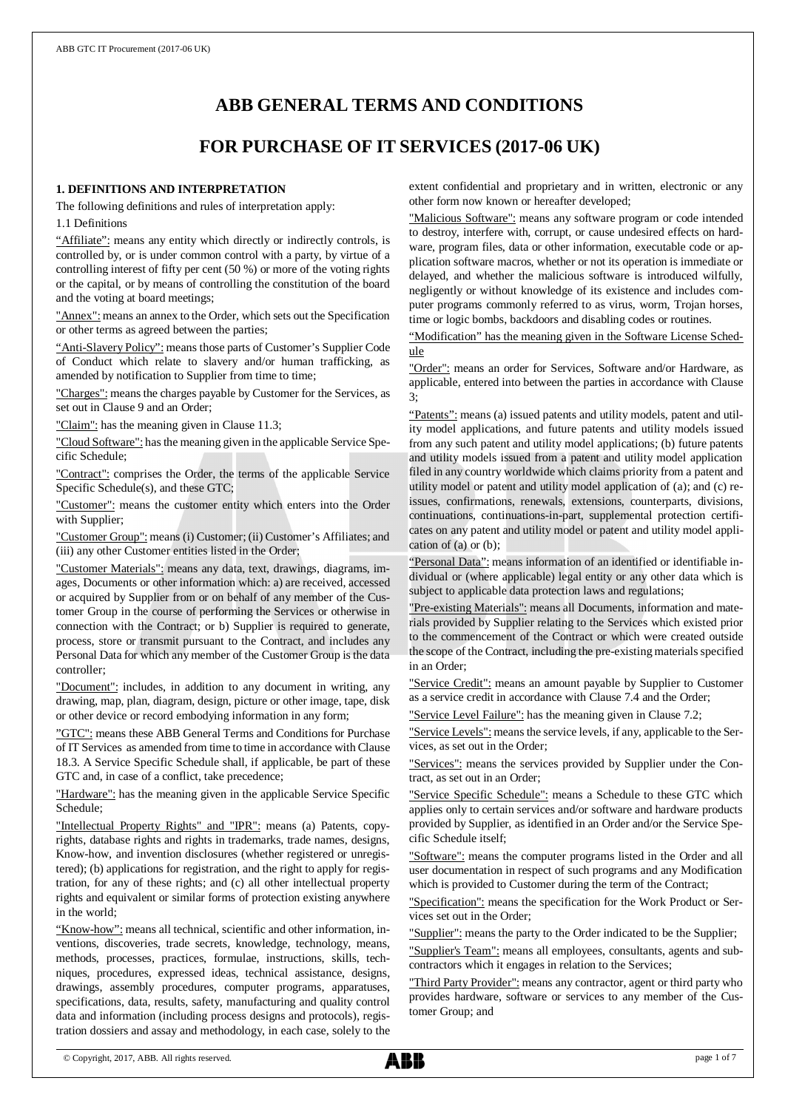# **ABB GENERAL TERMS AND CONDITIONS**

## **FOR PURCHASE OF IT SERVICES (2017-06 UK)**

## **1. DEFINITIONS AND INTERPRETATION**

The following definitions and rules of interpretation apply:

1.1 Definitions

"Affiliate": means any entity which directly or indirectly controls, is controlled by, or is under common control with a party, by virtue of a controlling interest of fifty per cent (50 %) or more of the voting rights or the capital, or by means of controlling the constitution of the board and the voting at board meetings;

"Annex": means an annex to the Order, which sets out the Specification or other terms as agreed between the parties;

"Anti-Slavery Policy": means those parts of Customer's Supplier Code of Conduct which relate to slavery and/or human trafficking, as amended by notification to Supplier from time to time;

"Charges": means the charges payable by Customer for the Services, as set out in Clause 9 and an Order;

"Claim": has the meaning given in Clause 11.3;

"Cloud Software": has the meaning given in the applicable Service Specific Schedule;

"Contract": comprises the Order, the terms of the applicable Service Specific Schedule(s), and these GTC;

"Customer": means the customer entity which enters into the Order with Supplier;

"Customer Group": means (i) Customer; (ii) Customer's Affiliates; and (iii) any other Customer entities listed in the Order;

"Customer Materials": means any data, text, drawings, diagrams, images, Documents or other information which: a) are received, accessed or acquired by Supplier from or on behalf of any member of the Customer Group in the course of performing the Services or otherwise in connection with the Contract; or b) Supplier is required to generate, process, store or transmit pursuant to the Contract, and includes any Personal Data for which any member of the Customer Group is the data controller;

"Document": includes, in addition to any document in writing, any drawing, map, plan, diagram, design, picture or other image, tape, disk or other device or record embodying information in any form;

"GTC": means these ABB General Terms and Conditions for Purchase of IT Services as amended from time to time in accordance with Clause 18.3. A Service Specific Schedule shall, if applicable, be part of these GTC and, in case of a conflict, take precedence;

"Hardware": has the meaning given in the applicable Service Specific Schedule;

"Intellectual Property Rights" and "IPR": means (a) Patents, copyrights, database rights and rights in trademarks, trade names, designs, Know-how, and invention disclosures (whether registered or unregistered); (b) applications for registration, and the right to apply for registration, for any of these rights; and (c) all other intellectual property rights and equivalent or similar forms of protection existing anywhere in the world;

"Know-how": means all technical, scientific and other information, inventions, discoveries, trade secrets, knowledge, technology, means, methods, processes, practices, formulae, instructions, skills, techniques, procedures, expressed ideas, technical assistance, designs, drawings, assembly procedures, computer programs, apparatuses, specifications, data, results, safety, manufacturing and quality control data and information (including process designs and protocols), registration dossiers and assay and methodology, in each case, solely to the

extent confidential and proprietary and in written, electronic or any other form now known or hereafter developed;

"Malicious Software": means any software program or code intended to destroy, interfere with, corrupt, or cause undesired effects on hardware, program files, data or other information, executable code or application software macros, whether or not its operation is immediate or delayed, and whether the malicious software is introduced wilfully, negligently or without knowledge of its existence and includes computer programs commonly referred to as virus, worm, Trojan horses, time or logic bombs, backdoors and disabling codes or routines.

"Modification" has the meaning given in the Software License Schedule

"Order": means an order for Services, Software and/or Hardware, as applicable, entered into between the parties in accordance with Clause 3;

"Patents": means (a) issued patents and utility models, patent and utility model applications, and future patents and utility models issued from any such patent and utility model applications; (b) future patents and utility models issued from a patent and utility model application filed in any country worldwide which claims priority from a patent and utility model or patent and utility model application of (a); and (c) reissues, confirmations, renewals, extensions, counterparts, divisions, continuations, continuations-in-part, supplemental protection certificates on any patent and utility model or patent and utility model application of (a) or (b);

"Personal Data": means information of an identified or identifiable individual or (where applicable) legal entity or any other data which is subject to applicable data protection laws and regulations;

"Pre-existing Materials": means all Documents, information and materials provided by Supplier relating to the Services which existed prior to the commencement of the Contract or which were created outside the scope of the Contract, including the pre-existing materials specified in an Order;

"Service Credit": means an amount payable by Supplier to Customer as a service credit in accordance with Clause 7.4 and the Order;

"Service Level Failure": has the meaning given in Clause 7.2;

"Service Levels": means the service levels, if any, applicable to the Services, as set out in the Order;

"Services": means the services provided by Supplier under the Contract, as set out in an Order;

"Service Specific Schedule": means a Schedule to these GTC which applies only to certain services and/or software and hardware products provided by Supplier, as identified in an Order and/or the Service Specific Schedule itself;

"Software": means the computer programs listed in the Order and all user documentation in respect of such programs and any Modification which is provided to Customer during the term of the Contract;

"Specification": means the specification for the Work Product or Services set out in the Order;

"Supplier": means the party to the Order indicated to be the Supplier;

"Supplier's Team": means all employees, consultants, agents and subcontractors which it engages in relation to the Services;

"Third Party Provider": means any contractor, agent or third party who provides hardware, software or services to any member of the Customer Group; and

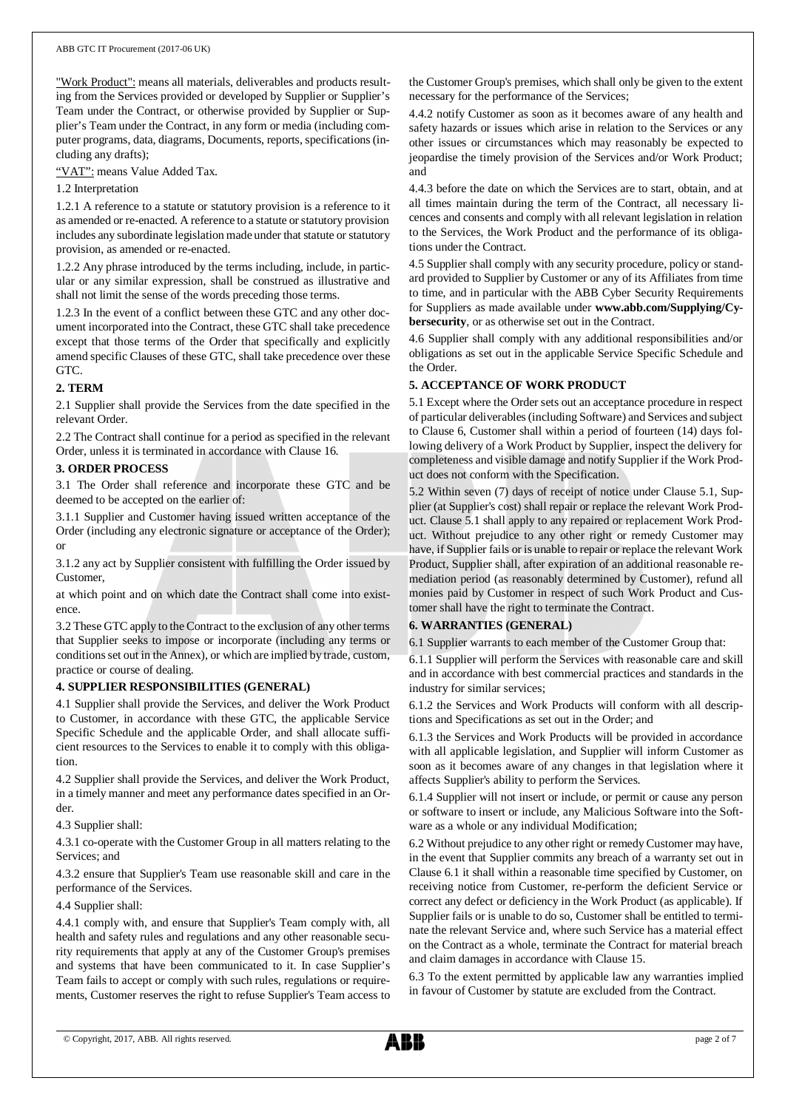"Work Product": means all materials, deliverables and products resulting from the Services provided or developed by Supplier or Supplier's Team under the Contract, or otherwise provided by Supplier or Supplier's Team under the Contract, in any form or media (including computer programs, data, diagrams, Documents, reports, specifications (including any drafts);

"VAT": means Value Added Tax.

1.2 Interpretation

1.2.1 A reference to a statute or statutory provision is a reference to it as amended or re-enacted. A reference to a statute or statutory provision includes any subordinate legislation made under that statute or statutory provision, as amended or re-enacted.

1.2.2 Any phrase introduced by the terms including, include, in particular or any similar expression, shall be construed as illustrative and shall not limit the sense of the words preceding those terms.

1.2.3 In the event of a conflict between these GTC and any other document incorporated into the Contract, these GTC shall take precedence except that those terms of the Order that specifically and explicitly amend specific Clauses of these GTC, shall take precedence over these GTC.

## **2. TERM**

2.1 Supplier shall provide the Services from the date specified in the relevant Order.

2.2 The Contract shall continue for a period as specified in the relevant Order, unless it is terminated in accordance with Clause 16.

#### **3. ORDER PROCESS**

3.1 The Order shall reference and incorporate these GTC and be deemed to be accepted on the earlier of:

3.1.1 Supplier and Customer having issued written acceptance of the Order (including any electronic signature or acceptance of the Order); or

3.1.2 any act by Supplier consistent with fulfilling the Order issued by Customer,

at which point and on which date the Contract shall come into existence.

3.2 These GTC apply to the Contract to the exclusion of any other terms that Supplier seeks to impose or incorporate (including any terms or conditions set out in the Annex), or which are implied by trade, custom, practice or course of dealing.

#### **4. SUPPLIER RESPONSIBILITIES (GENERAL)**

4.1 Supplier shall provide the Services, and deliver the Work Product to Customer, in accordance with these GTC, the applicable Service Specific Schedule and the applicable Order, and shall allocate sufficient resources to the Services to enable it to comply with this obligation.

4.2 Supplier shall provide the Services, and deliver the Work Product, in a timely manner and meet any performance dates specified in an Order.

4.3 Supplier shall:

4.3.1 co-operate with the Customer Group in all matters relating to the Services; and

4.3.2 ensure that Supplier's Team use reasonable skill and care in the performance of the Services.

4.4 Supplier shall:

4.4.1 comply with, and ensure that Supplier's Team comply with, all health and safety rules and regulations and any other reasonable security requirements that apply at any of the Customer Group's premises and systems that have been communicated to it. In case Supplier's Team fails to accept or comply with such rules, regulations or requirements, Customer reserves the right to refuse Supplier's Team access to the Customer Group's premises, which shall only be given to the extent necessary for the performance of the Services;

4.4.2 notify Customer as soon as it becomes aware of any health and safety hazards or issues which arise in relation to the Services or any other issues or circumstances which may reasonably be expected to jeopardise the timely provision of the Services and/or Work Product; and

4.4.3 before the date on which the Services are to start, obtain, and at all times maintain during the term of the Contract, all necessary licences and consents and comply with all relevant legislation in relation to the Services, the Work Product and the performance of its obligations under the Contract.

4.5 Supplier shall comply with any security procedure, policy or standard provided to Supplier by Customer or any of its Affiliates from time to time, and in particular with the ABB Cyber Security Requirements for Suppliers as made available under **www.abb.com/Supplying/Cybersecurity**, or as otherwise set out in the Contract.

4.6 Supplier shall comply with any additional responsibilities and/or obligations as set out in the applicable Service Specific Schedule and the Order.

## **5. ACCEPTANCE OF WORK PRODUCT**

5.1 Except where the Order sets out an acceptance procedure in respect of particular deliverables (including Software) and Services and subject to Clause 6, Customer shall within a period of fourteen (14) days following delivery of a Work Product by Supplier, inspect the delivery for completeness and visible damage and notify Supplier if the Work Product does not conform with the Specification.

5.2 Within seven (7) days of receipt of notice under Clause 5.1, Supplier (at Supplier's cost) shall repair or replace the relevant Work Product. Clause 5.1 shall apply to any repaired or replacement Work Product. Without prejudice to any other right or remedy Customer may have, if Supplier fails or is unable to repair or replace the relevant Work Product, Supplier shall, after expiration of an additional reasonable remediation period (as reasonably determined by Customer), refund all monies paid by Customer in respect of such Work Product and Customer shall have the right to terminate the Contract.

## **6. WARRANTIES (GENERAL)**

6.1 Supplier warrants to each member of the Customer Group that:

6.1.1 Supplier will perform the Services with reasonable care and skill and in accordance with best commercial practices and standards in the industry for similar services;

6.1.2 the Services and Work Products will conform with all descriptions and Specifications as set out in the Order; and

6.1.3 the Services and Work Products will be provided in accordance with all applicable legislation, and Supplier will inform Customer as soon as it becomes aware of any changes in that legislation where it affects Supplier's ability to perform the Services.

6.1.4 Supplier will not insert or include, or permit or cause any person or software to insert or include, any Malicious Software into the Software as a whole or any individual Modification;

6.2 Without prejudice to any other right or remedy Customer may have, in the event that Supplier commits any breach of a warranty set out in Clause 6.1 it shall within a reasonable time specified by Customer, on receiving notice from Customer, re-perform the deficient Service or correct any defect or deficiency in the Work Product (as applicable). If Supplier fails or is unable to do so, Customer shall be entitled to terminate the relevant Service and, where such Service has a material effect on the Contract as a whole, terminate the Contract for material breach and claim damages in accordance with Clause 15.

6.3 To the extent permitted by applicable law any warranties implied in favour of Customer by statute are excluded from the Contract.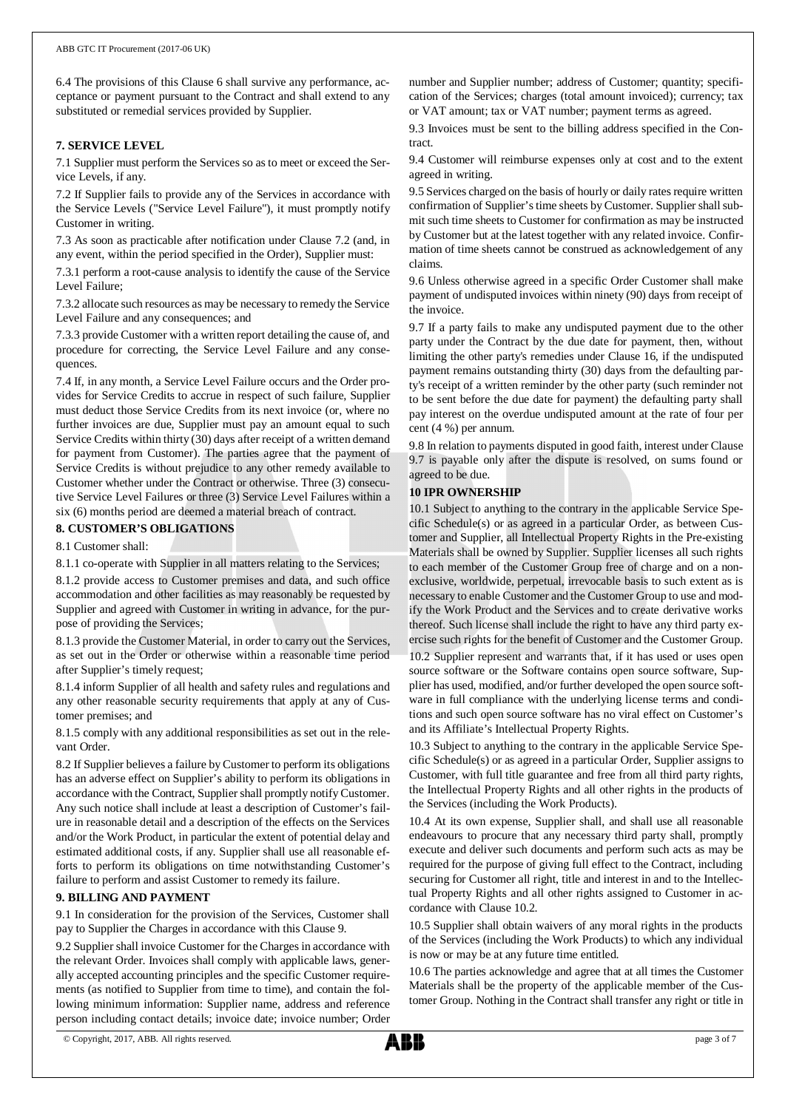6.4 The provisions of this Clause 6 shall survive any performance, acceptance or payment pursuant to the Contract and shall extend to any substituted or remedial services provided by Supplier.

## **7. SERVICE LEVEL**

7.1 Supplier must perform the Services so as to meet or exceed the Service Levels, if any.

7.2 If Supplier fails to provide any of the Services in accordance with the Service Levels ("Service Level Failure"), it must promptly notify Customer in writing.

7.3 As soon as practicable after notification under Clause 7.2 (and, in any event, within the period specified in the Order), Supplier must:

7.3.1 perform a root-cause analysis to identify the cause of the Service Level Failure;

7.3.2 allocate such resources as may be necessary to remedy the Service Level Failure and any consequences; and

7.3.3 provide Customer with a written report detailing the cause of, and procedure for correcting, the Service Level Failure and any consequences.

7.4 If, in any month, a Service Level Failure occurs and the Order provides for Service Credits to accrue in respect of such failure, Supplier must deduct those Service Credits from its next invoice (or, where no further invoices are due, Supplier must pay an amount equal to such Service Credits within thirty (30) days after receipt of a written demand for payment from Customer). The parties agree that the payment of Service Credits is without prejudice to any other remedy available to Customer whether under the Contract or otherwise. Three (3) consecutive Service Level Failures or three (3) Service Level Failures within a six (6) months period are deemed a material breach of contract.

## **8. CUSTOMER'S OBLIGATIONS**

8.1 Customer shall:

8.1.1 co-operate with Supplier in all matters relating to the Services;

8.1.2 provide access to Customer premises and data, and such office accommodation and other facilities as may reasonably be requested by Supplier and agreed with Customer in writing in advance, for the purpose of providing the Services;

8.1.3 provide the Customer Material, in order to carry out the Services, as set out in the Order or otherwise within a reasonable time period after Supplier's timely request;

8.1.4 inform Supplier of all health and safety rules and regulations and any other reasonable security requirements that apply at any of Customer premises; and

8.1.5 comply with any additional responsibilities as set out in the relevant Order.

8.2 If Supplier believes a failure by Customer to perform its obligations has an adverse effect on Supplier's ability to perform its obligations in accordance with the Contract, Supplier shall promptly notify Customer. Any such notice shall include at least a description of Customer's failure in reasonable detail and a description of the effects on the Services and/or the Work Product, in particular the extent of potential delay and estimated additional costs, if any. Supplier shall use all reasonable efforts to perform its obligations on time notwithstanding Customer's failure to perform and assist Customer to remedy its failure.

## **9. BILLING AND PAYMENT**

9.1 In consideration for the provision of the Services, Customer shall pay to Supplier the Charges in accordance with this Clause 9.

9.2 Supplier shall invoice Customer for the Charges in accordance with the relevant Order. Invoices shall comply with applicable laws, generally accepted accounting principles and the specific Customer requirements (as notified to Supplier from time to time), and contain the following minimum information: Supplier name, address and reference person including contact details; invoice date; invoice number; Order

number and Supplier number; address of Customer; quantity; specification of the Services; charges (total amount invoiced); currency; tax or VAT amount; tax or VAT number; payment terms as agreed.

9.3 Invoices must be sent to the billing address specified in the Contract.

9.4 Customer will reimburse expenses only at cost and to the extent agreed in writing.

9.5 Services charged on the basis of hourly or daily rates require written confirmation of Supplier's time sheets by Customer. Supplier shall submit such time sheets to Customer for confirmation as may be instructed by Customer but at the latest together with any related invoice. Confirmation of time sheets cannot be construed as acknowledgement of any claims.

9.6 Unless otherwise agreed in a specific Order Customer shall make payment of undisputed invoices within ninety (90) days from receipt of the invoice.

9.7 If a party fails to make any undisputed payment due to the other party under the Contract by the due date for payment, then, without limiting the other party's remedies under Clause 16, if the undisputed payment remains outstanding thirty (30) days from the defaulting party's receipt of a written reminder by the other party (such reminder not to be sent before the due date for payment) the defaulting party shall pay interest on the overdue undisputed amount at the rate of four per cent (4 %) per annum.

9.8 In relation to payments disputed in good faith, interest under Clause 9.7 is payable only after the dispute is resolved, on sums found or agreed to be due.

## **10 IPR OWNERSHIP**

10.1 Subject to anything to the contrary in the applicable Service Specific Schedule(s) or as agreed in a particular Order, as between Customer and Supplier, all Intellectual Property Rights in the Pre-existing Materials shall be owned by Supplier. Supplier licenses all such rights to each member of the Customer Group free of charge and on a nonexclusive, worldwide, perpetual, irrevocable basis to such extent as is necessary to enable Customer and the Customer Group to use and modify the Work Product and the Services and to create derivative works thereof. Such license shall include the right to have any third party exercise such rights for the benefit of Customer and the Customer Group.

10.2 Supplier represent and warrants that, if it has used or uses open source software or the Software contains open source software, Supplier has used, modified, and/or further developed the open source software in full compliance with the underlying license terms and conditions and such open source software has no viral effect on Customer's and its Affiliate's Intellectual Property Rights.

10.3 Subject to anything to the contrary in the applicable Service Specific Schedule(s) or as agreed in a particular Order, Supplier assigns to Customer, with full title guarantee and free from all third party rights, the Intellectual Property Rights and all other rights in the products of the Services (including the Work Products).

10.4 At its own expense, Supplier shall, and shall use all reasonable endeavours to procure that any necessary third party shall, promptly execute and deliver such documents and perform such acts as may be required for the purpose of giving full effect to the Contract, including securing for Customer all right, title and interest in and to the Intellectual Property Rights and all other rights assigned to Customer in accordance with Clause 10.2.

10.5 Supplier shall obtain waivers of any moral rights in the products of the Services (including the Work Products) to which any individual is now or may be at any future time entitled.

10.6 The parties acknowledge and agree that at all times the Customer Materials shall be the property of the applicable member of the Customer Group. Nothing in the Contract shall transfer any right or title in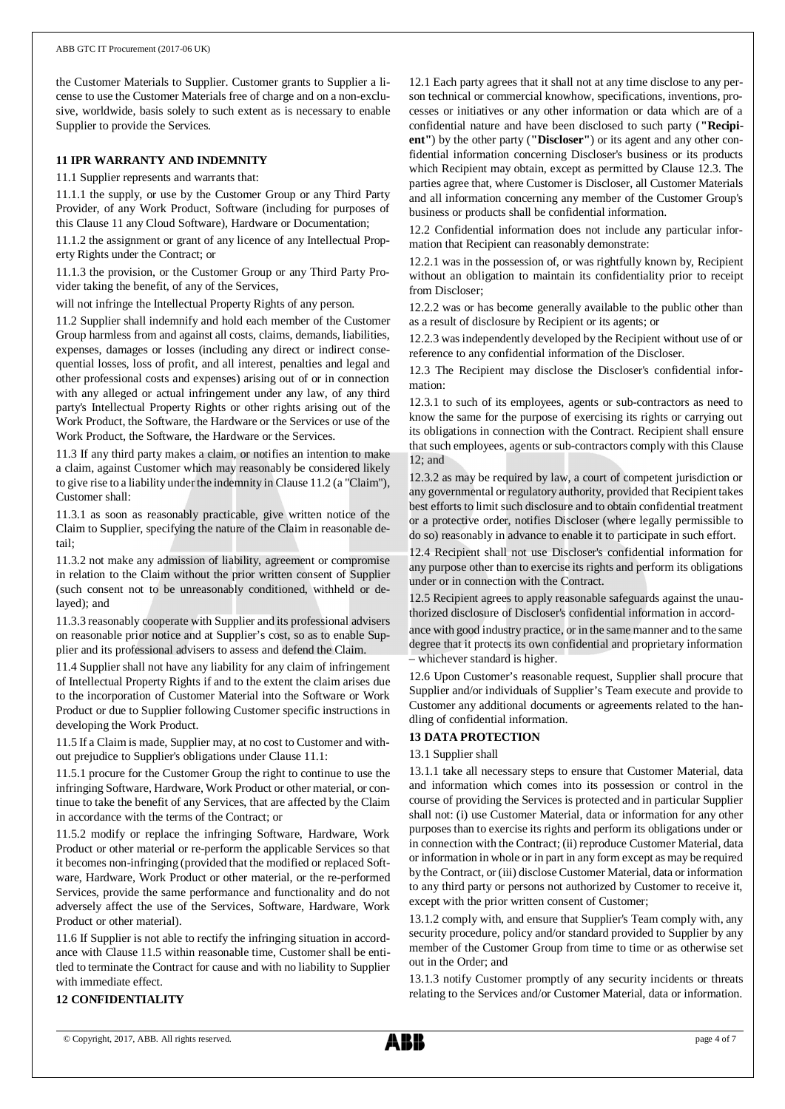the Customer Materials to Supplier. Customer grants to Supplier a license to use the Customer Materials free of charge and on a non-exclusive, worldwide, basis solely to such extent as is necessary to enable Supplier to provide the Services.

## **11 IPR WARRANTY AND INDEMNITY**

11.1 Supplier represents and warrants that:

11.1.1 the supply, or use by the Customer Group or any Third Party Provider, of any Work Product, Software (including for purposes of this Clause 11 any Cloud Software), Hardware or Documentation;

11.1.2 the assignment or grant of any licence of any Intellectual Property Rights under the Contract; or

11.1.3 the provision, or the Customer Group or any Third Party Provider taking the benefit, of any of the Services,

will not infringe the Intellectual Property Rights of any person.

11.2 Supplier shall indemnify and hold each member of the Customer Group harmless from and against all costs, claims, demands, liabilities, expenses, damages or losses (including any direct or indirect consequential losses, loss of profit, and all interest, penalties and legal and other professional costs and expenses) arising out of or in connection with any alleged or actual infringement under any law, of any third party's Intellectual Property Rights or other rights arising out of the Work Product, the Software, the Hardware or the Services or use of the Work Product, the Software, the Hardware or the Services.

11.3 If any third party makes a claim, or notifies an intention to make a claim, against Customer which may reasonably be considered likely to give rise to a liability under the indemnity in Clause 11.2 (a "Claim"), Customer shall:

11.3.1 as soon as reasonably practicable, give written notice of the Claim to Supplier, specifying the nature of the Claim in reasonable detail;

11.3.2 not make any admission of liability, agreement or compromise in relation to the Claim without the prior written consent of Supplier (such consent not to be unreasonably conditioned, withheld or delayed); and

11.3.3 reasonably cooperate with Supplier and its professional advisers on reasonable prior notice and at Supplier's cost, so as to enable Supplier and its professional advisers to assess and defend the Claim.

11.4 Supplier shall not have any liability for any claim of infringement of Intellectual Property Rights if and to the extent the claim arises due to the incorporation of Customer Material into the Software or Work Product or due to Supplier following Customer specific instructions in developing the Work Product.

11.5 If a Claim is made, Supplier may, at no cost to Customer and without prejudice to Supplier's obligations under Clause 11.1:

11.5.1 procure for the Customer Group the right to continue to use the infringing Software, Hardware, Work Product or other material, or continue to take the benefit of any Services, that are affected by the Claim in accordance with the terms of the Contract; or

11.5.2 modify or replace the infringing Software, Hardware, Work Product or other material or re-perform the applicable Services so that it becomes non-infringing (provided that the modified or replaced Software, Hardware, Work Product or other material, or the re-performed Services, provide the same performance and functionality and do not adversely affect the use of the Services, Software, Hardware, Work Product or other material).

11.6 If Supplier is not able to rectify the infringing situation in accordance with Clause 11.5 within reasonable time, Customer shall be entitled to terminate the Contract for cause and with no liability to Supplier with immediate effect.

## **12 CONFIDENTIALITY**

12.1 Each party agrees that it shall not at any time disclose to any person technical or commercial knowhow, specifications, inventions, processes or initiatives or any other information or data which are of a confidential nature and have been disclosed to such party (**"Recipient"**) by the other party (**"Discloser"**) or its agent and any other confidential information concerning Discloser's business or its products which Recipient may obtain, except as permitted by Clause 12.3. The parties agree that, where Customer is Discloser, all Customer Materials and all information concerning any member of the Customer Group's business or products shall be confidential information.

12.2 Confidential information does not include any particular information that Recipient can reasonably demonstrate:

12.2.1 was in the possession of, or was rightfully known by, Recipient without an obligation to maintain its confidentiality prior to receipt from Discloser;

12.2.2 was or has become generally available to the public other than as a result of disclosure by Recipient or its agents; or

12.2.3 was independently developed by the Recipient without use of or reference to any confidential information of the Discloser.

12.3 The Recipient may disclose the Discloser's confidential information:

12.3.1 to such of its employees, agents or sub-contractors as need to know the same for the purpose of exercising its rights or carrying out its obligations in connection with the Contract. Recipient shall ensure that such employees, agents or sub-contractors comply with this Clause  $12:$  and

12.3.2 as may be required by law, a court of competent jurisdiction or any governmental or regulatory authority, provided that Recipient takes best efforts to limit such disclosure and to obtain confidential treatment or a protective order, notifies Discloser (where legally permissible to do so) reasonably in advance to enable it to participate in such effort.

12.4 Recipient shall not use Discloser's confidential information for any purpose other than to exercise its rights and perform its obligations under or in connection with the Contract.

12.5 Recipient agrees to apply reasonable safeguards against the unauthorized disclosure of Discloser's confidential information in accord-

ance with good industry practice, or in the same manner and to the same degree that it protects its own confidential and proprietary information – whichever standard is higher.

12.6 Upon Customer's reasonable request, Supplier shall procure that Supplier and/or individuals of Supplier's Team execute and provide to Customer any additional documents or agreements related to the handling of confidential information.

#### **13 DATA PROTECTION**

## 13.1 Supplier shall

13.1.1 take all necessary steps to ensure that Customer Material, data and information which comes into its possession or control in the course of providing the Services is protected and in particular Supplier shall not: (i) use Customer Material, data or information for any other purposes than to exercise its rights and perform its obligations under or in connection with the Contract; (ii) reproduce Customer Material, data or information in whole or in part in any form except as may be required by the Contract, or (iii) disclose Customer Material, data or information to any third party or persons not authorized by Customer to receive it, except with the prior written consent of Customer;

13.1.2 comply with, and ensure that Supplier's Team comply with, any security procedure, policy and/or standard provided to Supplier by any member of the Customer Group from time to time or as otherwise set out in the Order; and

13.1.3 notify Customer promptly of any security incidents or threats relating to the Services and/or Customer Material, data or information.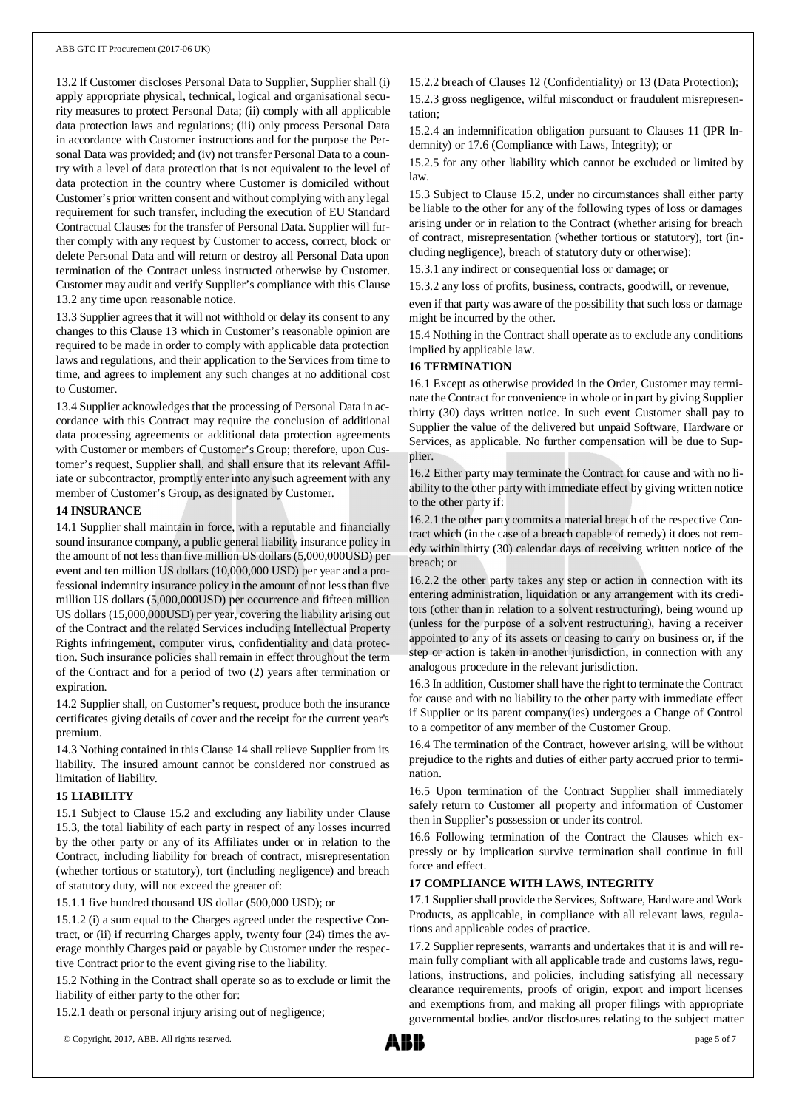13.2 If Customer discloses Personal Data to Supplier, Supplier shall (i) apply appropriate physical, technical, logical and organisational security measures to protect Personal Data; (ii) comply with all applicable data protection laws and regulations; (iii) only process Personal Data in accordance with Customer instructions and for the purpose the Personal Data was provided; and (iv) not transfer Personal Data to a country with a level of data protection that is not equivalent to the level of data protection in the country where Customer is domiciled without Customer's prior written consent and without complying with any legal requirement for such transfer, including the execution of EU Standard Contractual Clauses for the transfer of Personal Data. Supplier will further comply with any request by Customer to access, correct, block or delete Personal Data and will return or destroy all Personal Data upon termination of the Contract unless instructed otherwise by Customer. Customer may audit and verify Supplier's compliance with this Clause 13.2 any time upon reasonable notice.

13.3 Supplier agrees that it will not withhold or delay its consent to any changes to this Clause 13 which in Customer's reasonable opinion are required to be made in order to comply with applicable data protection laws and regulations, and their application to the Services from time to time, and agrees to implement any such changes at no additional cost to Customer.

13.4 Supplier acknowledges that the processing of Personal Data in accordance with this Contract may require the conclusion of additional data processing agreements or additional data protection agreements with Customer or members of Customer's Group; therefore, upon Customer's request, Supplier shall, and shall ensure that its relevant Affiliate or subcontractor, promptly enter into any such agreement with any member of Customer's Group, as designated by Customer.

#### **14 INSURANCE**

14.1 Supplier shall maintain in force, with a reputable and financially sound insurance company, a public general liability insurance policy in the amount of not less than five million US dollars (5,000,000USD) per event and ten million US dollars (10,000,000 USD) per year and a professional indemnity insurance policy in the amount of not less than five million US dollars (5,000,000USD) per occurrence and fifteen million US dollars (15,000,000USD) per year, covering the liability arising out of the Contract and the related Services including Intellectual Property Rights infringement, computer virus, confidentiality and data protection. Such insurance policies shall remain in effect throughout the term of the Contract and for a period of two (2) years after termination or expiration.

14.2 Supplier shall, on Customer's request, produce both the insurance certificates giving details of cover and the receipt for the current year's premium.

14.3 Nothing contained in this Clause 14 shall relieve Supplier from its liability. The insured amount cannot be considered nor construed as limitation of liability.

#### **15 LIABILITY**

15.1 Subject to Clause 15.2 and excluding any liability under Clause 15.3, the total liability of each party in respect of any losses incurred by the other party or any of its Affiliates under or in relation to the Contract, including liability for breach of contract, misrepresentation (whether tortious or statutory), tort (including negligence) and breach of statutory duty, will not exceed the greater of:

15.1.1 five hundred thousand US dollar (500,000 USD); or

15.1.2 (i) a sum equal to the Charges agreed under the respective Contract, or (ii) if recurring Charges apply, twenty four (24) times the average monthly Charges paid or payable by Customer under the respective Contract prior to the event giving rise to the liability.

15.2 Nothing in the Contract shall operate so as to exclude or limit the liability of either party to the other for:

15.2.1 death or personal injury arising out of negligence;

15.2.2 breach of Clauses 12 (Confidentiality) or 13 (Data Protection); 15.2.3 gross negligence, wilful misconduct or fraudulent misrepresentation;

15.2.4 an indemnification obligation pursuant to Clauses 11 (IPR Indemnity) or 17.6 (Compliance with Laws, Integrity); or

15.2.5 for any other liability which cannot be excluded or limited by law.

15.3 Subject to Clause 15.2, under no circumstances shall either party be liable to the other for any of the following types of loss or damages arising under or in relation to the Contract (whether arising for breach of contract, misrepresentation (whether tortious or statutory), tort (including negligence), breach of statutory duty or otherwise):

15.3.1 any indirect or consequential loss or damage; or

15.3.2 any loss of profits, business, contracts, goodwill, or revenue,

even if that party was aware of the possibility that such loss or damage might be incurred by the other.

15.4 Nothing in the Contract shall operate as to exclude any conditions implied by applicable law.

#### **16 TERMINATION**

16.1 Except as otherwise provided in the Order, Customer may terminate the Contract for convenience in whole or in part by giving Supplier thirty (30) days written notice. In such event Customer shall pay to Supplier the value of the delivered but unpaid Software, Hardware or Services, as applicable. No further compensation will be due to Supplier.

16.2 Either party may terminate the Contract for cause and with no liability to the other party with immediate effect by giving written notice to the other party if:

16.2.1 the other party commits a material breach of the respective Contract which (in the case of a breach capable of remedy) it does not remedy within thirty (30) calendar days of receiving written notice of the breach; or

16.2.2 the other party takes any step or action in connection with its entering administration, liquidation or any arrangement with its creditors (other than in relation to a solvent restructuring), being wound up (unless for the purpose of a solvent restructuring), having a receiver appointed to any of its assets or ceasing to carry on business or, if the step or action is taken in another jurisdiction, in connection with any analogous procedure in the relevant jurisdiction.

16.3 In addition, Customer shall have the right to terminate the Contract for cause and with no liability to the other party with immediate effect if Supplier or its parent company(ies) undergoes a Change of Control to a competitor of any member of the Customer Group.

16.4 The termination of the Contract, however arising, will be without prejudice to the rights and duties of either party accrued prior to termination.

16.5 Upon termination of the Contract Supplier shall immediately safely return to Customer all property and information of Customer then in Supplier's possession or under its control.

16.6 Following termination of the Contract the Clauses which expressly or by implication survive termination shall continue in full force and effect.

## **17 COMPLIANCE WITH LAWS, INTEGRITY**

17.1 Supplier shall provide the Services, Software, Hardware and Work Products, as applicable, in compliance with all relevant laws, regulations and applicable codes of practice.

17.2 Supplier represents, warrants and undertakes that it is and will remain fully compliant with all applicable trade and customs laws, regulations, instructions, and policies, including satisfying all necessary clearance requirements, proofs of origin, export and import licenses and exemptions from, and making all proper filings with appropriate governmental bodies and/or disclosures relating to the subject matter

© Copyright, 2017, ABB. All rights reserved. page 5 of 7

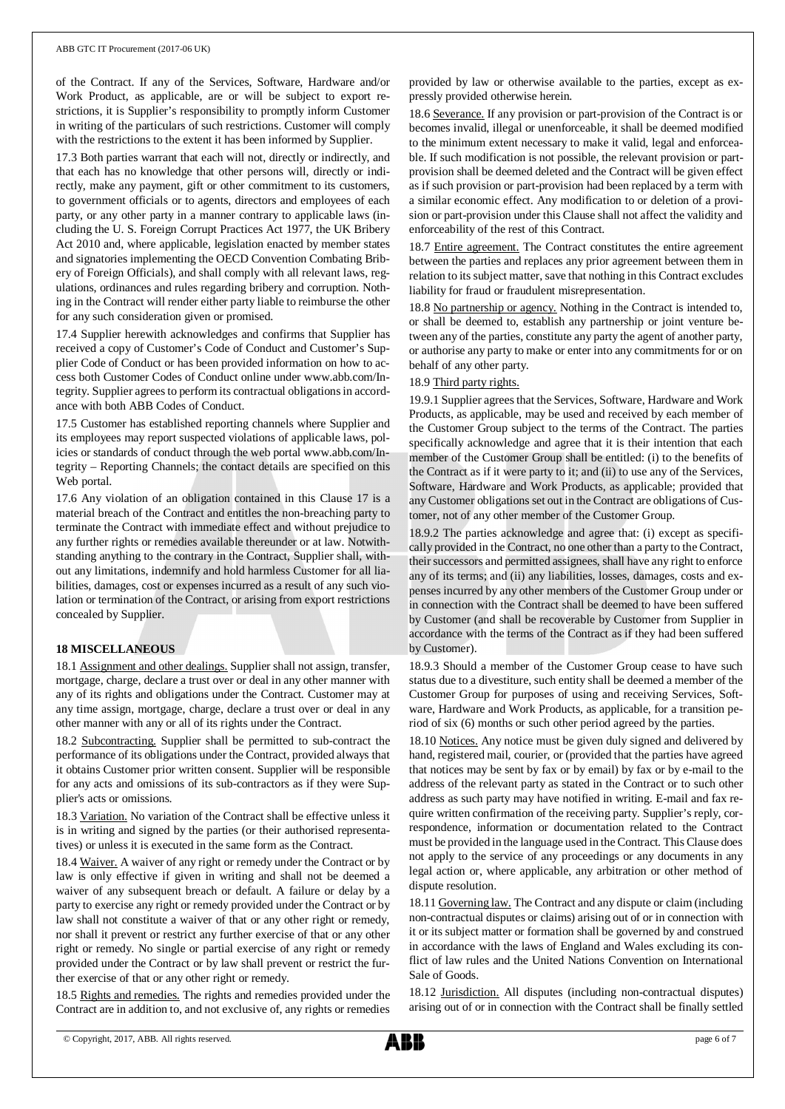#### ABB GTC IT Procurement (2017-06 UK)

of the Contract. If any of the Services, Software, Hardware and/or Work Product, as applicable, are or will be subject to export restrictions, it is Supplier's responsibility to promptly inform Customer in writing of the particulars of such restrictions. Customer will comply with the restrictions to the extent it has been informed by Supplier.

17.3 Both parties warrant that each will not, directly or indirectly, and that each has no knowledge that other persons will, directly or indirectly, make any payment, gift or other commitment to its customers, to government officials or to agents, directors and employees of each party, or any other party in a manner contrary to applicable laws (including the U. S. Foreign Corrupt Practices Act 1977, the UK Bribery Act 2010 and, where applicable, legislation enacted by member states and signatories implementing the OECD Convention Combating Bribery of Foreign Officials), and shall comply with all relevant laws, regulations, ordinances and rules regarding bribery and corruption. Nothing in the Contract will render either party liable to reimburse the other for any such consideration given or promised.

17.4 Supplier herewith acknowledges and confirms that Supplier has received a copy of Customer's Code of Conduct and Customer's Supplier Code of Conduct or has been provided information on how to access both Customer Codes of Conduct online under www.abb.com/Integrity. Supplier agrees to perform its contractual obligations in accordance with both ABB Codes of Conduct.

17.5 Customer has established reporting channels where Supplier and its employees may report suspected violations of applicable laws, policies or standards of conduct through the web portal www.abb.com/Integrity – Reporting Channels; the contact details are specified on this Web portal.

17.6 Any violation of an obligation contained in this Clause 17 is a material breach of the Contract and entitles the non-breaching party to terminate the Contract with immediate effect and without prejudice to any further rights or remedies available thereunder or at law. Notwithstanding anything to the contrary in the Contract, Supplier shall, without any limitations, indemnify and hold harmless Customer for all liabilities, damages, cost or expenses incurred as a result of any such violation or termination of the Contract, or arising from export restrictions concealed by Supplier.

#### **18 MISCELLANEOUS**

18.1 Assignment and other dealings. Supplier shall not assign, transfer, mortgage, charge, declare a trust over or deal in any other manner with any of its rights and obligations under the Contract. Customer may at any time assign, mortgage, charge, declare a trust over or deal in any other manner with any or all of its rights under the Contract.

18.2 Subcontracting. Supplier shall be permitted to sub-contract the performance of its obligations under the Contract, provided always that it obtains Customer prior written consent. Supplier will be responsible for any acts and omissions of its sub-contractors as if they were Supplier's acts or omissions.

18.3 Variation. No variation of the Contract shall be effective unless it is in writing and signed by the parties (or their authorised representatives) or unless it is executed in the same form as the Contract.

18.4 Waiver. A waiver of any right or remedy under the Contract or by law is only effective if given in writing and shall not be deemed a waiver of any subsequent breach or default. A failure or delay by a party to exercise any right or remedy provided under the Contract or by law shall not constitute a waiver of that or any other right or remedy, nor shall it prevent or restrict any further exercise of that or any other right or remedy. No single or partial exercise of any right or remedy provided under the Contract or by law shall prevent or restrict the further exercise of that or any other right or remedy.

18.5 Rights and remedies. The rights and remedies provided under the Contract are in addition to, and not exclusive of, any rights or remedies

provided by law or otherwise available to the parties, except as expressly provided otherwise herein.

18.6 Severance. If any provision or part-provision of the Contract is or becomes invalid, illegal or unenforceable, it shall be deemed modified to the minimum extent necessary to make it valid, legal and enforceable. If such modification is not possible, the relevant provision or partprovision shall be deemed deleted and the Contract will be given effect as if such provision or part-provision had been replaced by a term with a similar economic effect. Any modification to or deletion of a provision or part-provision under this Clause shall not affect the validity and enforceability of the rest of this Contract.

18.7 Entire agreement. The Contract constitutes the entire agreement between the parties and replaces any prior agreement between them in relation to its subject matter, save that nothing in this Contract excludes liability for fraud or fraudulent misrepresentation.

18.8 No partnership or agency. Nothing in the Contract is intended to, or shall be deemed to, establish any partnership or joint venture between any of the parties, constitute any party the agent of another party, or authorise any party to make or enter into any commitments for or on behalf of any other party.

#### 18.9 Third party rights.

19.9.1 Supplier agrees that the Services, Software, Hardware and Work Products, as applicable, may be used and received by each member of the Customer Group subject to the terms of the Contract. The parties specifically acknowledge and agree that it is their intention that each member of the Customer Group shall be entitled: (i) to the benefits of the Contract as if it were party to it; and (ii) to use any of the Services, Software, Hardware and Work Products, as applicable; provided that any Customer obligations set out in the Contract are obligations of Customer, not of any other member of the Customer Group.

18.9.2 The parties acknowledge and agree that: (i) except as specifically provided in the Contract, no one other than a party to the Contract, their successors and permitted assignees, shall have any right to enforce any of its terms; and (ii) any liabilities, losses, damages, costs and expenses incurred by any other members of the Customer Group under or in connection with the Contract shall be deemed to have been suffered by Customer (and shall be recoverable by Customer from Supplier in accordance with the terms of the Contract as if they had been suffered by Customer).

18.9.3 Should a member of the Customer Group cease to have such status due to a divestiture, such entity shall be deemed a member of the Customer Group for purposes of using and receiving Services, Software, Hardware and Work Products, as applicable, for a transition period of six (6) months or such other period agreed by the parties.

18.10 Notices. Any notice must be given duly signed and delivered by hand, registered mail, courier, or (provided that the parties have agreed that notices may be sent by fax or by email) by fax or by e-mail to the address of the relevant party as stated in the Contract or to such other address as such party may have notified in writing. E-mail and fax require written confirmation of the receiving party. Supplier's reply, correspondence, information or documentation related to the Contract must be provided in the language used in the Contract. This Clause does not apply to the service of any proceedings or any documents in any legal action or, where applicable, any arbitration or other method of dispute resolution.

18.11 Governing law. The Contract and any dispute or claim (including non-contractual disputes or claims) arising out of or in connection with it or its subject matter or formation shall be governed by and construed in accordance with the laws of England and Wales excluding its conflict of law rules and the United Nations Convention on International Sale of Goods.

18.12 Jurisdiction. All disputes (including non-contractual disputes) arising out of or in connection with the Contract shall be finally settled